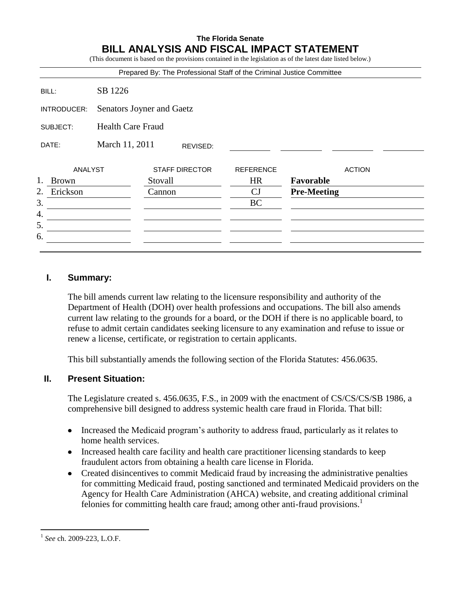## **The Florida Senate BILL ANALYSIS AND FISCAL IMPACT STATEMENT**

(This document is based on the provisions contained in the legislation as of the latest date listed below.)

|                    |                            |                       |  | Prepared By: The Professional Staff of the Criminal Justice Committee |                    |               |
|--------------------|----------------------------|-----------------------|--|-----------------------------------------------------------------------|--------------------|---------------|
| BILL:              | SB 1226                    |                       |  |                                                                       |                    |               |
| INTRODUCER:        | Senators Joyner and Gaetz  |                       |  |                                                                       |                    |               |
| SUBJECT:           | <b>Health Care Fraud</b>   |                       |  |                                                                       |                    |               |
| DATE:              | March 11, 2011<br>REVISED: |                       |  |                                                                       |                    |               |
| ANALYST            |                            | <b>STAFF DIRECTOR</b> |  | <b>REFERENCE</b>                                                      |                    | <b>ACTION</b> |
| 1.<br><b>Brown</b> |                            | Stovall               |  | <b>HR</b>                                                             | Favorable          |               |
| 2.<br>Erickson     |                            | Cannon                |  | CJ                                                                    | <b>Pre-Meeting</b> |               |
| 3.                 |                            |                       |  | <b>BC</b>                                                             |                    |               |
| 4.                 |                            |                       |  |                                                                       |                    |               |
| 5.                 |                            |                       |  |                                                                       |                    |               |
| 6.                 |                            |                       |  |                                                                       |                    |               |

### **I. Summary:**

The bill amends current law relating to the licensure responsibility and authority of the Department of Health (DOH) over health professions and occupations. The bill also amends current law relating to the grounds for a board, or the DOH if there is no applicable board, to refuse to admit certain candidates seeking licensure to any examination and refuse to issue or renew a license, certificate, or registration to certain applicants.

This bill substantially amends the following section of the Florida Statutes: 456.0635.

## **II. Present Situation:**

The Legislature created s. 456.0635, F.S., in 2009 with the enactment of CS/CS/CS/SB 1986, a comprehensive bill designed to address systemic health care fraud in Florida. That bill:

- Increased the Medicaid program's authority to address fraud, particularly as it relates to home health services.
- Increased health care facility and health care practitioner licensing standards to keep fraudulent actors from obtaining a health care license in Florida.
- Created disincentives to commit Medicaid fraud by increasing the administrative penalties for committing Medicaid fraud, posting sanctioned and terminated Medicaid providers on the Agency for Health Care Administration (AHCA) website, and creating additional criminal felonies for committing health care fraud; among other anti-fraud provisions.<sup>1</sup>

 $\overline{a}$ 

<sup>1</sup> *See* ch. 2009-223, L.O.F.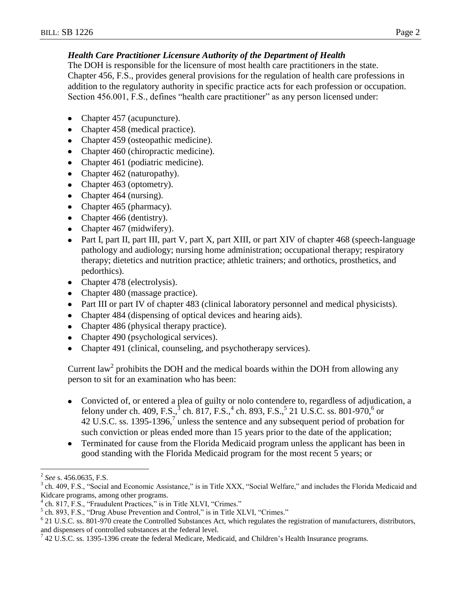# *Health Care Practitioner Licensure Authority of the Department of Health*

The DOH is responsible for the licensure of most health care practitioners in the state. Chapter 456, F.S., provides general provisions for the regulation of health care professions in addition to the regulatory authority in specific practice acts for each profession or occupation. Section 456.001, F.S., defines "health care practitioner" as any person licensed under:

- Chapter 457 (acupuncture).  $\bullet$
- Chapter 458 (medical practice).
- Chapter 459 (osteopathic medicine).
- Chapter 460 (chiropractic medicine).
- Chapter 461 (podiatric medicine).
- Chapter 462 (naturopathy).
- Chapter 463 (optometry).
- Chapter 464 (nursing).
- Chapter 465 (pharmacy).
- Chapter 466 (dentistry).
- Chapter 467 (midwifery).
- Part I, part II, part III, part V, part X, part XIII, or part XIV of chapter 468 (speech-language pathology and audiology; nursing home administration; occupational therapy; respiratory therapy; dietetics and nutrition practice; athletic trainers; and orthotics, prosthetics, and pedorthics).
- Chapter 478 (electrolysis).
- Chapter 480 (massage practice).
- Part III or part IV of chapter 483 (clinical laboratory personnel and medical physicists).
- Chapter 484 (dispensing of optical devices and hearing aids).
- Chapter 486 (physical therapy practice).
- Chapter 490 (psychological services).
- Chapter 491 (clinical, counseling, and psychotherapy services).

Current law<sup>2</sup> prohibits the DOH and the medical boards within the DOH from allowing any person to sit for an examination who has been:

- Convicted of, or entered a plea of guilty or nolo contendere to, regardless of adjudication, a felony under ch. 409, F.S., $^{3}$  ch. 817, F.S., $^{4}$  ch. 893, F.S., $^{5}$  21 U.S.C. ss. 801-970, $^{6}$  or 42 U.S.C. ss. 1395-1396, $\frac{7}{7}$  unless the sentence and any subsequent period of probation for such conviction or pleas ended more than 15 years prior to the date of the application;
- Terminated for cause from the Florida Medicaid program unless the applicant has been in good standing with the Florida Medicaid program for the most recent 5 years; or

 $\overline{a}$ 

<sup>2</sup> *See* s. 456.0635, F.S.

 $3$  ch. 409, F.S., "Social and Economic Assistance," is in Title XXX, "Social Welfare," and includes the Florida Medicaid and Kidcare programs, among other programs.

<sup>4</sup> ch. 817, F.S., "Fraudulent Practices," is in Title XLVI, "Crimes."

 $<sup>5</sup>$  ch. 893, F.S., "Drug Abuse Prevention and Control," is in Title XLVI, "Crimes."</sup>

 $6$  21 U.S.C. ss. 801-970 create the Controlled Substances Act, which regulates the registration of manufacturers, distributors, and dispensers of controlled substances at the federal level.

 $^7$  42 U.S.C. ss. 1395-1396 create the federal Medicare, Medicaid, and Children's Health Insurance programs.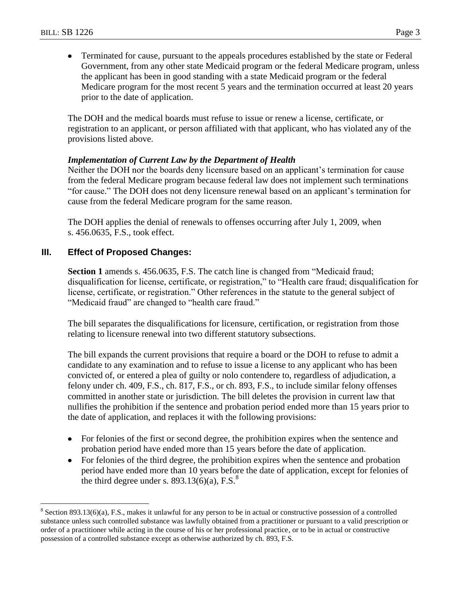$\overline{a}$ 

Terminated for cause, pursuant to the appeals procedures established by the state or Federal  $\bullet$ Government, from any other state Medicaid program or the federal Medicare program, unless the applicant has been in good standing with a state Medicaid program or the federal Medicare program for the most recent 5 years and the termination occurred at least 20 years prior to the date of application.

The DOH and the medical boards must refuse to issue or renew a license, certificate, or registration to an applicant, or person affiliated with that applicant, who has violated any of the provisions listed above.

### *Implementation of Current Law by the Department of Health*

Neither the DOH nor the boards deny licensure based on an applicant's termination for cause from the federal Medicare program because federal law does not implement such terminations "for cause." The DOH does not deny licensure renewal based on an applicant's termination for cause from the federal Medicare program for the same reason.

The DOH applies the denial of renewals to offenses occurring after July 1, 2009, when s. 456.0635, F.S., took effect.

### **III. Effect of Proposed Changes:**

**Section 1** amends s. 456.0635, F.S. The catch line is changed from "Medicaid fraud; disqualification for license, certificate, or registration," to "Health care fraud; disqualification for license, certificate, or registration." Other references in the statute to the general subject of "Medicaid fraud" are changed to "health care fraud."

The bill separates the disqualifications for licensure, certification, or registration from those relating to licensure renewal into two different statutory subsections.

The bill expands the current provisions that require a board or the DOH to refuse to admit a candidate to any examination and to refuse to issue a license to any applicant who has been convicted of, or entered a plea of guilty or nolo contendere to, regardless of adjudication, a felony under ch. 409, F.S., ch. 817, F.S., or ch. 893, F.S., to include similar felony offenses committed in another state or jurisdiction. The bill deletes the provision in current law that nullifies the prohibition if the sentence and probation period ended more than 15 years prior to the date of application, and replaces it with the following provisions:

- For felonies of the first or second degree, the prohibition expires when the sentence and probation period have ended more than 15 years before the date of application.
- For felonies of the third degree, the prohibition expires when the sentence and probation period have ended more than 10 years before the date of application, except for felonies of the third degree under s.  $893.13(6)(a)$ , F.S.<sup>8</sup>

 $8$  Section 893.13(6)(a), F.S., makes it unlawful for any person to be in actual or constructive possession of a controlled substance unless such controlled substance was lawfully obtained from a practitioner or pursuant to a valid prescription or order of a practitioner while acting in the course of his or her professional practice, or to be in actual or constructive possession of a controlled substance except as otherwise authorized by ch. 893, F.S.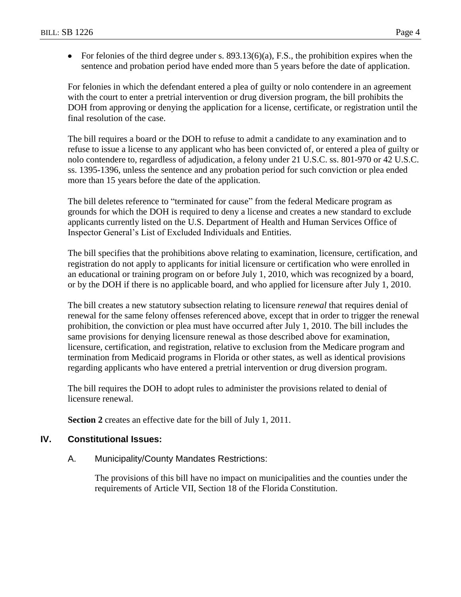• For felonies of the third degree under s.  $893.13(6)(a)$ , F.S., the prohibition expires when the sentence and probation period have ended more than 5 years before the date of application.

For felonies in which the defendant entered a plea of guilty or nolo contendere in an agreement with the court to enter a pretrial intervention or drug diversion program, the bill prohibits the DOH from approving or denying the application for a license, certificate, or registration until the final resolution of the case.

The bill requires a board or the DOH to refuse to admit a candidate to any examination and to refuse to issue a license to any applicant who has been convicted of, or entered a plea of guilty or nolo contendere to, regardless of adjudication, a felony under 21 U.S.C. ss. 801-970 or 42 U.S.C. ss. 1395-1396, unless the sentence and any probation period for such conviction or plea ended more than 15 years before the date of the application.

The bill deletes reference to "terminated for cause" from the federal Medicare program as grounds for which the DOH is required to deny a license and creates a new standard to exclude applicants currently listed on the U.S. Department of Health and Human Services Office of Inspector General's List of Excluded Individuals and Entities.

The bill specifies that the prohibitions above relating to examination, licensure, certification, and registration do not apply to applicants for initial licensure or certification who were enrolled in an educational or training program on or before July 1, 2010, which was recognized by a board, or by the DOH if there is no applicable board, and who applied for licensure after July 1, 2010.

The bill creates a new statutory subsection relating to licensure *renewal* that requires denial of renewal for the same felony offenses referenced above, except that in order to trigger the renewal prohibition, the conviction or plea must have occurred after July 1, 2010. The bill includes the same provisions for denying licensure renewal as those described above for examination, licensure, certification, and registration, relative to exclusion from the Medicare program and termination from Medicaid programs in Florida or other states, as well as identical provisions regarding applicants who have entered a pretrial intervention or drug diversion program.

The bill requires the DOH to adopt rules to administer the provisions related to denial of licensure renewal.

**Section 2** creates an effective date for the bill of July 1, 2011.

## **IV. Constitutional Issues:**

A. Municipality/County Mandates Restrictions:

The provisions of this bill have no impact on municipalities and the counties under the requirements of Article VII, Section 18 of the Florida Constitution.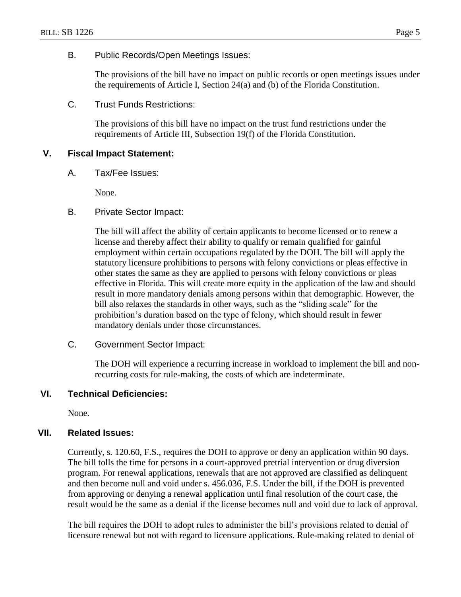#### B. Public Records/Open Meetings Issues:

The provisions of the bill have no impact on public records or open meetings issues under the requirements of Article I, Section 24(a) and (b) of the Florida Constitution.

C. Trust Funds Restrictions:

The provisions of this bill have no impact on the trust fund restrictions under the requirements of Article III, Subsection 19(f) of the Florida Constitution.

### **V. Fiscal Impact Statement:**

A. Tax/Fee Issues:

None.

B. Private Sector Impact:

The bill will affect the ability of certain applicants to become licensed or to renew a license and thereby affect their ability to qualify or remain qualified for gainful employment within certain occupations regulated by the DOH. The bill will apply the statutory licensure prohibitions to persons with felony convictions or pleas effective in other states the same as they are applied to persons with felony convictions or pleas effective in Florida. This will create more equity in the application of the law and should result in more mandatory denials among persons within that demographic. However, the bill also relaxes the standards in other ways, such as the "sliding scale" for the prohibition's duration based on the type of felony, which should result in fewer mandatory denials under those circumstances.

C. Government Sector Impact:

The DOH will experience a recurring increase in workload to implement the bill and nonrecurring costs for rule-making, the costs of which are indeterminate.

### **VI. Technical Deficiencies:**

None.

### **VII. Related Issues:**

Currently, s. 120.60, F.S., requires the DOH to approve or deny an application within 90 days. The bill tolls the time for persons in a court-approved pretrial intervention or drug diversion program. For renewal applications, renewals that are not approved are classified as delinquent and then become null and void under s. 456.036, F.S. Under the bill, if the DOH is prevented from approving or denying a renewal application until final resolution of the court case, the result would be the same as a denial if the license becomes null and void due to lack of approval.

The bill requires the DOH to adopt rules to administer the bill's provisions related to denial of licensure renewal but not with regard to licensure applications. Rule-making related to denial of